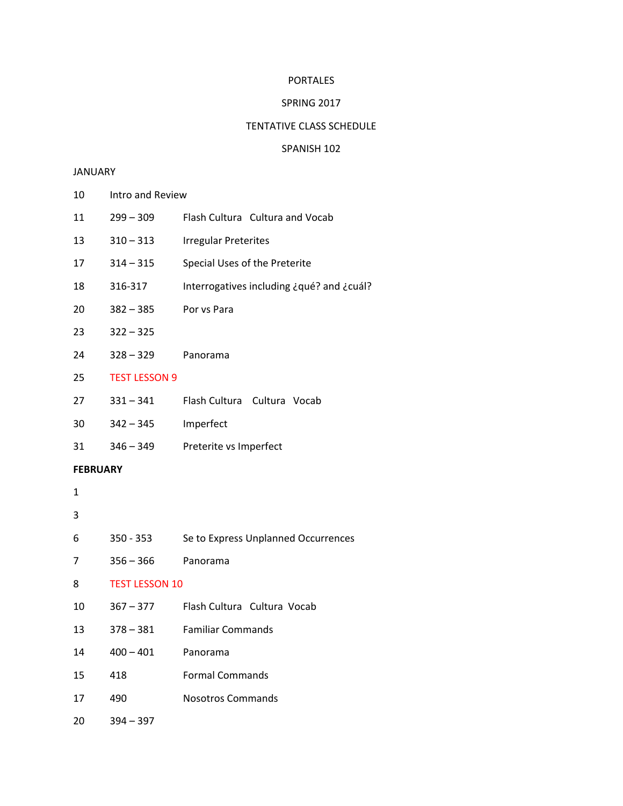#### PORTALES

### SPRING 2017

#### TENTATIVE CLASS SCHEDULE

## SPANISH 102

#### **JANUARY**

- Intro and Review
- 299 309 Flash Cultura Cultura and Vocab
- 310 313 Irregular Preterites
- 314 315 Special Uses of the Preterite
- 316-317 Interrogatives including ¿qué? and ¿cuál?
- 382 385 Por vs Para
- 322 325
- 328 329 Panorama
- TEST LESSON 9
- 331 341 Flash Cultura Cultura Vocab
- 342 345 Imperfect
- 346 349 Preterite vs Imperfect

## **FEBRUARY**

# 

- 350 353 Se to Express Unplanned Occurrences
- 356 366 Panorama
- TEST LESSON 10
- 367 377 Flash Cultura Cultura Vocab
- 378 381 Familiar Commands
- 400 401 Panorama
- 418 Formal Commands
- 490 Nosotros Commands
- 394 397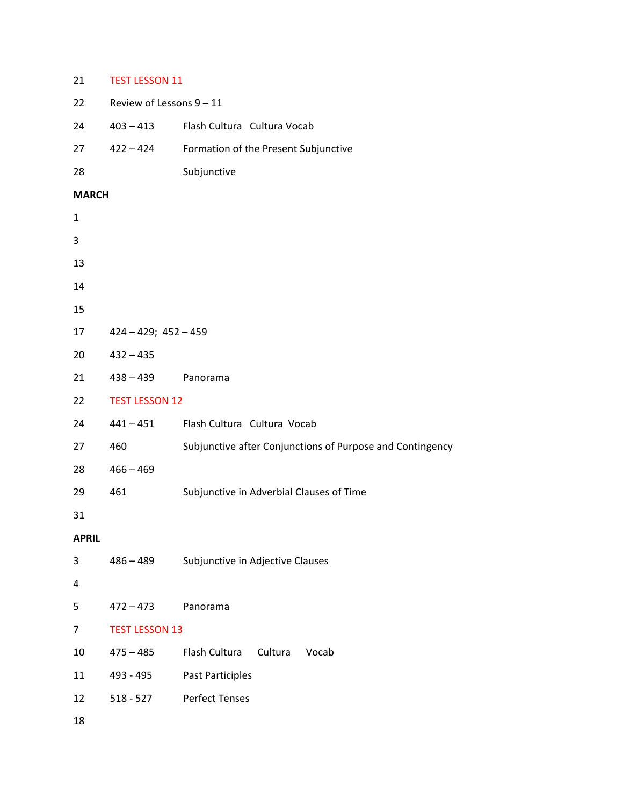## 21 TEST LESSON 11

| 22           | Review of Lessons 9 - 11  |                                                           |
|--------------|---------------------------|-----------------------------------------------------------|
| 24           | $403 - 413$               | Flash Cultura Cultura Vocab                               |
| 27           | $422 - 424$               | Formation of the Present Subjunctive                      |
| 28           |                           | Subjunctive                                               |
| <b>MARCH</b> |                           |                                                           |
| $\mathbf 1$  |                           |                                                           |
| 3            |                           |                                                           |
| 13           |                           |                                                           |
| 14           |                           |                                                           |
| 15           |                           |                                                           |
| 17           | $424 - 429$ ; $452 - 459$ |                                                           |
| 20           | $432 - 435$               |                                                           |
| 21           | $438 - 439$               | Panorama                                                  |
| 22           | <b>TEST LESSON 12</b>     |                                                           |
| 24           | $441 - 451$               | Flash Cultura Cultura Vocab                               |
| 27           | 460                       | Subjunctive after Conjunctions of Purpose and Contingency |
| 28           | $466 - 469$               |                                                           |
| 29           | 461                       | Subjunctive in Adverbial Clauses of Time                  |
| 31           |                           |                                                           |
| <b>APRIL</b> |                           |                                                           |
| 3            | $486 - 489$               | Subjunctive in Adjective Clauses                          |
| 4            |                           |                                                           |
| 5            | $472 - 473$               | Panorama                                                  |
| 7            | <b>TEST LESSON 13</b>     |                                                           |
| 10           | $475 - 485$               | Flash Cultura<br>Cultura<br>Vocab                         |
| 11           | 493 - 495                 | Past Participles                                          |
| 12           | $518 - 527$               | <b>Perfect Tenses</b>                                     |
| 18           |                           |                                                           |